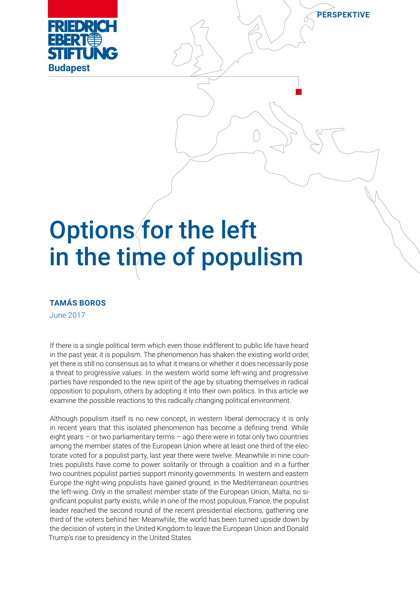

# Options for the left in the time of populism

**PERSPEKTIVE**

## **TAMÁS BOROS**

June 2017

If there is a single political term which even those indifferent to public life have heard in the past year, it is populism. The phenomenon has shaken the existing world order, yet there is still no consensus as to what it means or whether it does necessarily pose a threat to progressive values. In the western world some left-wing and progressive parties have responded to the new spirit of the age by situating themselves in radical opposition to populism, others by adopting it into their own politics. In this article we examine the possible reactions to this radically changing political environment.

Although populism itself is no new concept, in western liberal democracy it is only in recent years that this isolated phenomenon has become a defining trend. While eight years – or two parliamentary terms – ago there were in total only two countries among the member states of the European Union where at least one third of the electorate voted for a populist party, last year there were twelve. Meanwhile in nine countries populists have come to power solitarily or through a coalition and in a further two countries populist parties support minority governments. In western and eastern Europe the right-wing populists have gained ground; in the Mediterranean countries the left-wing. Only in the smallest member state of the European Union, Malta, no significant populist party exists, while in one of the most populous, France, the populist leader reached the second round of the recent presidential elections, gathering one third of the voters behind her. Meanwhile, the world has been turned upside down by the decision of voters in the United Kingdom to leave the European Union and Donald Trump's rise to presidency in the United States.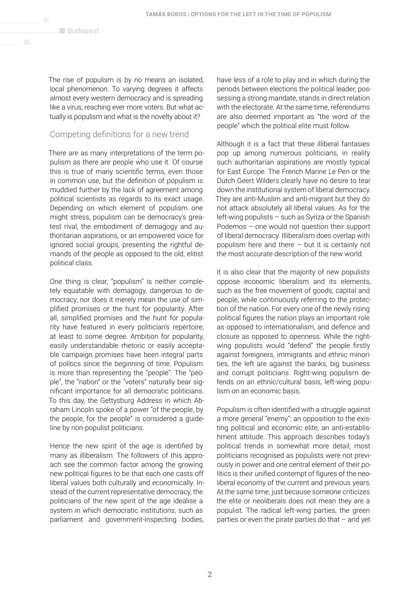The rise of populism is by no means an isolated, local phenomenon. To varying degrees it affects almost every western democracy and is spreading like a virus, reaching ever more voters. But what actually is populism and what is the novelty about it?

## Competing definitions for a new trend

There are as many interpretations of the term populism as there are people who use it. Of course this is true of many scientific terms, even those in common use, but the definition of populism is muddied further by the lack of agreement among political scientists as regards to its exact usage. Depending on which element of populism one might stress, populism can be democracy's greatest rival, the embodiment of demagogy and authoritarian aspirations, or an empowered voice for ignored social groups, presenting the rightful demands of the people as opposed to the old, elitist political class.

One thing is clear, "populism" is neither completely equatable with demagogy, dangerous to democracy, nor does it merely mean the use of simplified promises or the hunt for popularity. After all, simplified promises and the hunt for popularity have featured in every politician's repertoire, at least to some degree. Ambition for popularity, easily understandable rhetoric or easily acceptable campaign promises have been integral parts of politics since the beginning of time. Populism is more than representing the "people". The "people", the "nation" or the "voters" naturally bear significant importance for all democratic politicians. To this day, the Gettysburg Address in which Abraham Lincoln spoke of a power "of the people, by the people, for the people" is considered a guideline by non-populist politicians.

Hence the new spirit of the age is identified by many as illiberalism. The followers of this approach see the common factor among the growing new political figures to be that each one casts off liberal values both culturally and economically. Instead of the current representative democracy, the politicians of the new spirit of the age idealise a system in which democratic institutions, such as parliament and government-inspecting bodies, have less of a role to play and in which during the periods between elections the political leader, possessing a strong mandate, stands in direct relation with the electorate. At the same time, referendums are also deemed important as "the word of the people" which the political elite must follow.

Although it is a fact that these illiberal fantasies pop up among numerous politicians, in reality such authoritarian aspirations are mostly typical for East Europe. The French Marine Le Pen or the Dutch Geert Wilders clearly have no desire to tear down the institutional system of liberal democracy. They are anti-Muslim and anti-migrant but they do not attack absolutely all liberal values. As for the left-wing populists – such as Syriza or the Spanish Podemos – one would not question their support of liberal democracy. Illiberalism does overlap with populism here and there – but it is certainly not the most accurate description of the new world.

It is also clear that the majority of new populists oppose economic liberalism and its elements, such as the free movement of goods, capital and people, while continuously referring to the protection of the nation. For every one of the newly rising political figures the nation plays an important role as opposed to internationalism, and defence and closure as opposed to openness. While the rightwing populists would "defend" the people firstly against foreigners, immigrants and ethnic minorities, the left are against the banks, big business and corrupt politicians. Right-wing populism defends on an ethnic/cultural basis, left-wing populism on an economic basis.

Populism is often identified with a struggle against a more general "enemy": an opposition to the existing political and economic elite, an anti-establishment attitude. This approach describes today's political trends in somewhat more detail; most politicians recognised as populists were not previously in power and one central element of their politics is their unified contempt of figures of the neoliberal economy of the current and previous years. At the same time, just because someone criticizes the elite or neoliberals does not mean they are a populist. The radical left-wing parties, the green parties or even the pirate parties do that – and yet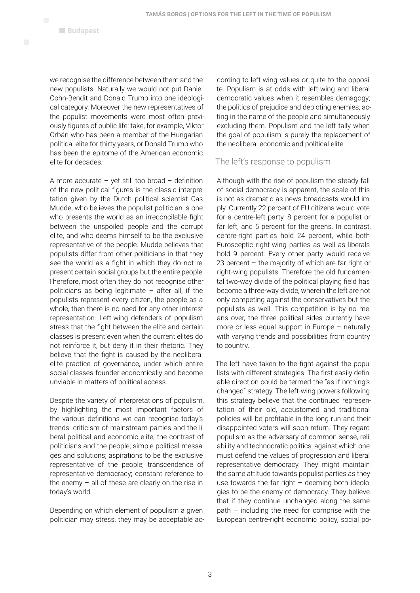we recognise the difference between them and the new populists. Naturally we would not put Daniel Cohn-Bendit and Donald Trump into one ideological category. Moreover the new representatives of the populist movements were most often previously figures of public life: take, for example, Viktor Orbán who has been a member of the Hungarian political elite for thirty years, or Donald Trump who has been the epitome of the American economic elite for decades.

A more accurate – yet still too broad – definition of the new political figures is the classic interpretation given by the Dutch political scientist Cas Mudde, who believes the populist politician is one who presents the world as an irreconcilable fight between the unspoiled people and the corrupt elite, and who deems himself to be the exclusive representative of the people. Mudde believes that populists differ from other politicians in that they see the world as a fight in which they do not represent certain social groups but the entire people. Therefore, most often they do not recognise other politicians as being legitimate – after all, if the populists represent every citizen, the people as a whole, then there is no need for any other interest representation. Left-wing defenders of populism stress that the fight between the elite and certain classes is present even when the current elites do not reinforce it, but deny it in their rhetoric. They believe that the fight is caused by the neoliberal elite practice of governance, under which entire social classes founder economically and become unviable in matters of political access.

Despite the variety of interpretations of populism, by highlighting the most important factors of the various definitions we can recognise today's trends: criticism of mainstream parties and the liberal political and economic elite; the contrast of politicians and the people; simple political messages and solutions; aspirations to be the exclusive representative of the people; transcendence of representative democracy; constant reference to the enemy  $-$  all of these are clearly on the rise in today's world.

Depending on which element of populism a given politician may stress, they may be acceptable ac-

cording to left-wing values or quite to the opposite. Populism is at odds with left-wing and liberal democratic values when it resembles demagogy; the politics of prejudice and depicting enemies; acting in the name of the people and simultaneously excluding them. Populism and the left tally when the goal of populism is purely the replacement of the neoliberal economic and political elite.

## The left's response to populism

Although with the rise of populism the steady fall of social democracy is apparent, the scale of this is not as dramatic as news broadcasts would imply. Currently 22 percent of EU citizens would vote for a centre-left party, 8 percent for a populist or far left, and 5 percent for the greens. In contrast, centre-right parties hold 24 percent, while both Eurosceptic right-wing parties as well as liberals hold 9 percent. Every other party would receive 23 percent – the majority of which are far right or right-wing populists. Therefore the old fundamental two-way divide of the political playing field has become a three-way divide, wherein the left are not only competing against the conservatives but the populists as well. This competition is by no means over, the three political sides currently have more or less equal support in Europe – naturally with varying trends and possibilities from country to country.

The left have taken to the fight against the populists with different strategies. The first easily definable direction could be termed the "as if nothing's changed" strategy. The left-wing powers following this strategy believe that the continued representation of their old, accustomed and traditional policies will be profitable in the long run and their disappointed voters will soon return. They regard populism as the adversary of common sense, reliability and technocratic politics, against which one must defend the values of progression and liberal representative democracy. They might maintain the same attitude towards populist parties as they use towards the far right  $-$  deeming both ideologies to be the enemy of democracy. They believe that if they continue unchanged along the same path – including the need for comprise with the European centre-right economic policy, social po-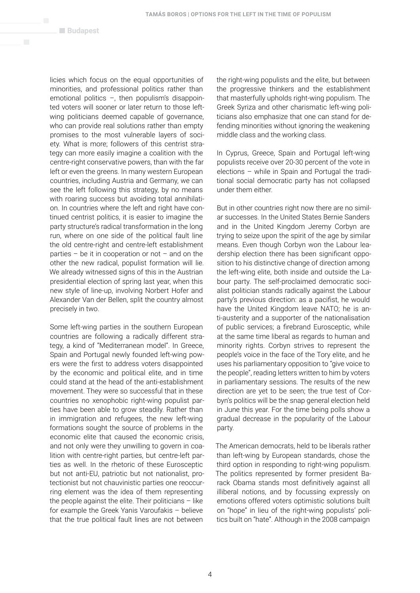licies which focus on the equal opportunities of minorities, and professional politics rather than emotional politics –, then populism's disappointed voters will sooner or later return to those leftwing politicians deemed capable of governance, who can provide real solutions rather than empty promises to the most vulnerable layers of society. What is more; followers of this centrist strategy can more easily imagine a coalition with the centre-right conservative powers, than with the far left or even the greens. In many western European countries, including Austria and Germany, we can see the left following this strategy, by no means with roaring success but avoiding total annihilation. In countries where the left and right have continued centrist politics, it is easier to imagine the party structure's radical transformation in the long run, where on one side of the political fault line the old centre-right and centre-left establishment parties – be it in cooperation or not – and on the other the new radical, populist formation will lie. We already witnessed signs of this in the Austrian presidential election of spring last year, when this new style of line-up, involving Norbert Hofer and Alexander Van der Bellen, split the country almost precisely in two.

Some left-wing parties in the southern European countries are following a radically different strategy, a kind of "Mediterranean model". In Greece, Spain and Portugal newly founded left-wing powers were the first to address voters disappointed by the economic and political elite, and in time could stand at the head of the anti-establishment movement. They were so successful that in these countries no xenophobic right-wing populist parties have been able to grow steadily. Rather than in immigration and refugees, the new left-wing formations sought the source of problems in the economic elite that caused the economic crisis, and not only were they unwilling to govern in coalition with centre-right parties, but centre-left parties as well. In the rhetoric of these Eurosceptic but not anti-EU, patriotic but not nationalist, protectionist but not chauvinistic parties one reoccurring element was the idea of them representing the people against the elite. Their politicians  $-$  like for example the Greek Yanis Varoufakis – believe that the true political fault lines are not between

the right-wing populists and the elite, but between the progressive thinkers and the establishment that masterfully upholds right-wing populism. The Greek Syriza and other charismatic left-wing politicians also emphasize that one can stand for defending minorities without ignoring the weakening middle class and the working class.

In Cyprus, Greece, Spain and Portugal left-wing populists receive over 20-30 percent of the vote in elections – while in Spain and Portugal the traditional social democratic party has not collapsed under them either.

But in other countries right now there are no similar successes. In the United States Bernie Sanders and in the United Kingdom Jeremy Corbyn are trying to seize upon the spirit of the age by similar means. Even though Corbyn won the Labour leadership election there has been significant opposition to his distinctive change of direction among the left-wing elite, both inside and outside the Labour party. The self-proclaimed democratic socialist politician stands radically against the Labour party's previous direction: as a pacifist, he would have the United Kingdom leave NATO; he is anti-austerity and a supporter of the nationalisation of public services; a firebrand Eurosceptic, while at the same time liberal as regards to human and minority rights. Corbyn strives to represent the people's voice in the face of the Tory elite, and he uses his parliamentary opposition to "give voice to the people", reading letters written to him by voters in parliamentary sessions. The results of the new direction are yet to be seen; the true test of Corbyn's politics will be the snap general election held in June this year. For the time being polls show a gradual decrease in the popularity of the Labour party.

The American democrats, held to be liberals rather than left-wing by European standards, chose the third option in responding to right-wing populism. The politics represented by former president Barack Obama stands most definitively against all illiberal notions, and by focussing expressly on emotions offered voters optimistic solutions built on "hope" in lieu of the right-wing populists' politics built on "hate". Although in the 2008 campaign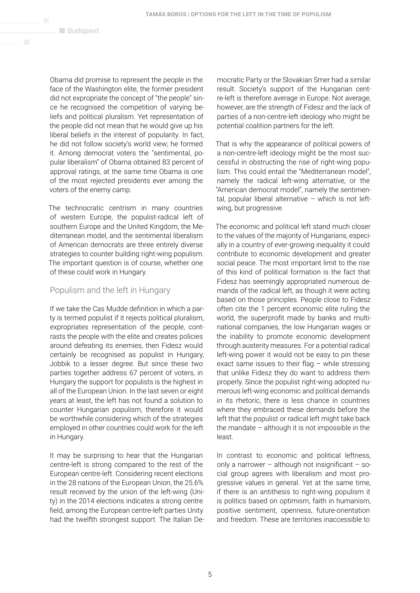Obama did promise to represent the people in the face of the Washington elite, the former president did not expropriate the concept of "the people" since he recognised the competition of varying beliefs and political pluralism. Yet representation of the people did not mean that he would give up his liberal beliefs in the interest of popularity. In fact, he did not follow society's world view; he formed it. Among democrat voters the "sentimental, popular liberalism" of Obama obtained 83 percent of approval ratings, at the same time Obama is one of the most rejected presidents ever among the voters of the enemy camp.

The technocratic centrism in many countries of western Europe, the populist-radical left of southern Europe and the United Kingdom, the Mediterranean model, and the sentimental liberalism of American democrats are three entirely diverse strategies to counter building right-wing populism. The important question is of course, whether one of these could work in Hungary.

### Populism and the left in Hungary

If we take the Cas Mudde definition in which a party is termed populist if it rejects political pluralism, expropriates representation of the people, contrasts the people with the elite and creates policies around defeating its enemies, then Fidesz would certainly be recognised as populist in Hungary, Jobbik to a lesser degree. But since these two parties together address 67 percent of voters, in Hungary the support for populists is the highest in all of the European Union. In the last seven or eight years at least, the left has not found a solution to counter Hungarian populism, therefore it would be worthwhile considering which of the strategies employed in other countries could work for the left in Hungary.

It may be surprising to hear that the Hungarian centre-left is strong compared to the rest of the European centre-left. Considering recent elections in the 28 nations of the European Union, the 25.6% result received by the union of the left-wing (Unity) in the 2014 elections indicates a strong centre field, among the European centre-left parties Unity had the twelfth strongest support. The Italian Democratic Party or the Slovakian Smer had a similar result. Society's support of the Hungarian centre-left is therefore average in Europe. Not average, however, are the strength of Fidesz and the lack of parties of a non-centre-left ideology who might be potential coalition partners for the left.

That is why the appearance of political powers of a non-centre-left ideology might be the most successful in obstructing the rise of right-wing populism. This could entail the "Mediterranean model", namely the radical left-wing alternative, or the "American democrat model", namely the sentimental, popular liberal alternative  $-$  which is not leftwing, but progressive.

The economic and political left stand much closer to the values of the majority of Hungarians, especially in a country of ever-growing inequality it could contribute to economic development and greater social peace. The most important limit to the rise of this kind of political formation is the fact that Fidesz has seemingly appropriated numerous demands of the radical left, as though it were acting based on those principles. People close to Fidesz often cite the 1 percent economic elite ruling the world, the superprofit made by banks and multinational companies, the low Hungarian wages or the inability to promote economic development through austerity measures. For a potential radical left-wing power it would not be easy to pin these exact same issues to their flag – while stressing that unlike Fidesz they do want to address them properly. Since the populist right-wing adopted numerous left-wing economic and political demands in its rhetoric, there is less chance in countries where they embraced these demands before the left that the populist or radical left might take back the mandate – although it is not impossible in the least.

In contrast to economic and political leftness, only a narrower – although not insignificant – social group agrees with liberalism and most progressive values in general. Yet at the same time, if there is an antithesis to right-wing populism it is politics based on optimism, faith in humanism, positive sentiment, openness, future-orientation and freedom. These are territories inaccessible to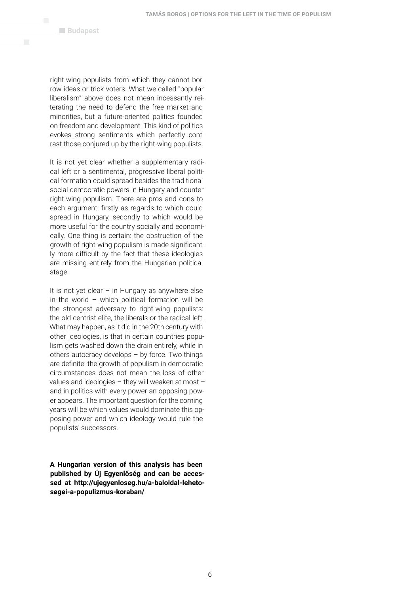right-wing populists from which they cannot borrow ideas or trick voters. What we called "popular liberalism" above does not mean incessantly reiterating the need to defend the free market and minorities, but a future-oriented politics founded on freedom and development. This kind of politics evokes strong sentiments which perfectly contrast those conjured up by the right-wing populists.

It is not yet clear whether a supplementary radical left or a sentimental, progressive liberal political formation could spread besides the traditional social democratic powers in Hungary and counter right-wing populism. There are pros and cons to each argument: firstly as regards to which could spread in Hungary, secondly to which would be more useful for the country socially and economically. One thing is certain: the obstruction of the growth of right-wing populism is made significantly more difficult by the fact that these ideologies are missing entirely from the Hungarian political stage.

It is not yet clear  $-$  in Hungary as anywhere else in the world – which political formation will be the strongest adversary to right-wing populists: the old centrist elite, the liberals or the radical left. What may happen, as it did in the 20th century with other ideologies, is that in certain countries populism gets washed down the drain entirely, while in others autocracy develops – by force. Two things are definite: the growth of populism in democratic circumstances does not mean the loss of other values and ideologies – they will weaken at most – and in politics with every power an opposing power appears. The important question for the coming years will be which values would dominate this opposing power and which ideology would rule the populists' successors.

**A Hungarian version of this analysis has been published by Új Egyenlőség and can be accessed at http://ujegyenloseg.hu/a-baloldal-lehetosegei-a-populizmus-koraban/**